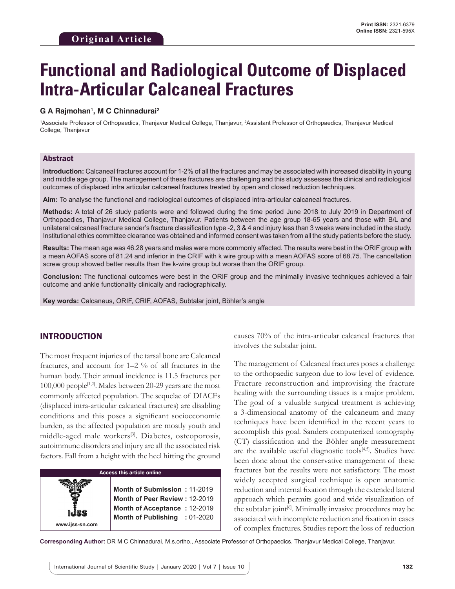# **Functional and Radiological Outcome of Displaced Intra-Articular Calcaneal Fractures**

## **G A Rajmohan1 , M C Chinnadurai2**

<sup>1</sup>Associate Professor of Orthopaedics, Thanjavur Medical College, Thanjavur, <sup>2</sup>Assistant Professor of Orthopaedics, Thanjavur Medical College, Thanjavur

## Abstract

**Introduction:** Calcaneal fractures account for 1-2% of all the fractures and may be associated with increased disability in young and middle age group. The management of these fractures are challenging and this study assesses the clinical and radiological outcomes of displaced intra articular calcaneal fractures treated by open and closed reduction techniques.

**Aim:** To analyse the functional and radiological outcomes of displaced intra-articular calcaneal fractures.

**Methods:** A total of 26 study patients were and followed during the time period June 2018 to July 2019 in Department of Orthopaedics, Thanjavur Medical College, Thanjavur. Patients between the age group 18-65 years and those with B/L and unilateral calcaneal fracture sander's fracture classification type -2, 3 & 4 and injury less than 3 weeks were included in the study. Institutional ethics committee clearance was obtained and informed consent was taken from all the study patients before the study.

**Results:** The mean age was 46.28 years and males were more commonly affected. The results were best in the ORIF group with a mean AOFAS score of 81.24 and inferior in the CRIF with k wire group with a mean AOFAS score of 68.75. The cancellation screw group showed better results than the k-wire group but worse than the ORIF group.

**Conclusion:** The functional outcomes were best in the ORIF group and the minimally invasive techniques achieved a fair outcome and ankle functionality clinically and radiographically.

**Key words:** Calcaneus, ORIF, CRIF, AOFAS, Subtalar joint, Böhler's angle

# INTRODUCTION

**www.ijss-sn.com**

The most frequent injuries of the tarsal bone are Calcaneal fractures, and account for 1–2 % of all fractures in the human body. Their annual incidence is 11.5 fractures per 100,000 people<sup>[1,2]</sup>. Males between 20-29 years are the most commonly affected population. The sequelae of DIACFs (displaced intra-articular calcaneal fractures) are disabling conditions and this poses a significant socioeconomic burden, as the affected population are mostly youth and middle-aged male workers<sup>[3]</sup>. Diabetes, osteoporosis, autoimmune disorders and injury are all the associated risk factors. Fall from a height with the heel hitting the ground

#### **Access this article online**

**Month of Submission :** 11-2019 **Month of Peer Review :** 12-2019 **Month of Acceptance :** 12-2019 **Month of Publishing :** 01-2020 causes 70% of the intra-articular calcaneal fractures that involves the subtalar joint.

The management of Calcaneal fractures poses a challenge to the orthopaedic surgeon due to low level of evidence. Fracture reconstruction and improvising the fracture healing with the surrounding tissues is a major problem. The goal of a valuable surgical treatment is achieving a 3-dimensional anatomy of the calcaneum and many techniques have been identified in the recent years to accomplish this goal. Sanders computerized tomography (CT) classification and the Böhler angle measurement are the available useful diagnostic tools<sup>[4,5]</sup>. Studies have been done about the conservative management of these fractures but the results were not satisfactory. The most widely accepted surgical technique is open anatomic reduction and internal fixation through the extended lateral approach which permits good and wide visualization of the subtalar joint<sup>[6]</sup>. Minimally invasive procedures may be associated with incomplete reduction and fixation in cases of complex fractures. Studies report the loss of reduction

**Corresponding Author:** DR M C Chinnadurai, M.s.ortho., Associate Professor of Orthopaedics, Thanjavur Medical College, Thanjavur.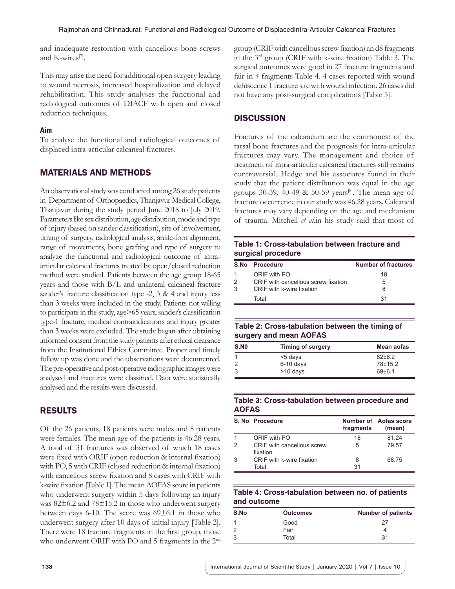and inadequate restoration with cancellous bone screws and K-wires<sup>[7]</sup>.

This may arise the need for additional open surgery leading to wound necrosis, increased hospitalization and delayed rehabilitation. This study analyses the functional and radiological outcomes of DIACF with open and closed reduction techniques.

## **Aim**

To analyse the functional and radiological outcomes of displaced intra-articular calcaneal fractures.

# MATERIALS AND METHODS

An observational study was conducted among 26 study patients in Department of Orthopaedics, Thanjavur Medical College, Thanjavur during the study period June 2018 to July 2019. Parameters like sex distribution, age distribution, mode and type of injury (based on sander classification), site of involvement, timing of surgery, radiological analysis, ankle-foot alignment, range of movements, bone grafting and type of surgery to analyze the functional and radiological outcome of intraarticular calcaneal fractures treated by open/closed reduction method were studied. Patients between the age group 18-65 years and those with B/L and unilateral calcaneal fracture sander's fracture classification type -2, 3 & 4 and injury less than 3 weeks were included in the study. Patients not willing to participate in the study, age>65 years, sander's classification type-1 fracture, medical contraindications and injury greater than 3 weeks were excluded. The study began after obtaining informed consent from the study patients after ethical clearance from the Institutional Ethics Committee. Proper and timely follow up was done and the observations were documented. The pre-operative and post-operative radiographic images were analysed and fractures were classified. Data were statistically analysed and the results were discussed.

# RESULTS

Of the 26 patients, 18 patients were males and 8 patients were females. The mean age of the patients is 46.28 years. A total of 31 fractures was observed of which 18 cases were fixed with ORIF (open reduction & internal fixation) with PO, 5 with CRIF (closed reduction & internal fixation) with cancellous screw fixation and 8 cases with CRIF with k-wire fixation [Table 1]. The mean AOFAS score in patients who underwent surgery within 5 days following an injury was 82±6.2 and 78±15.2 in those who underwent surgery between days 6-10. The score was  $69\pm6.1$  in those who underwent surgery after 10 days of initial injury [Table 2]. There were 18 fracture fragments in the first group, those who underwent ORIF with PO and 5 fragments in the 2<sup>nd</sup> group (CRIF with cancellous screw fixation) an d8 fragments in the 3rd group (CRIF with k-wire fixation) Table 3. The surgical outcomes were good in 27 fracture fragments and fair in 4 fragments Table 4. 4 cases reported with wound dehiscence 1 fracture site with wound infection. 26 cases did not have any post-surgical complications [Table 5].

# **DISCUSSION**

Fractures of the calcaneum are the commonest of the tarsal bone fractures and the prognosis for intra-articular fractures may vary. The management and choice of treatment of intra-articular calcaneal fractures still remains controversial. Hedge and his associates found in their study that the patient distribution was equal in the age groups 30-39, 40-49 & 50-59 years<sup>[8]</sup>. The mean age of fracture occurrence in our study was 46.28 years. Calcaneal fractures may vary depending on the age and mechanism of trauma. Mitchell *et al*.in his study said that most of

# **Table 1: Cross-tabulation between fracture and surgical procedure**

|   | <b>S.No Procedure</b>               | <b>Number of fractures</b> |
|---|-------------------------------------|----------------------------|
| 1 | ORIF with PO                        | 18                         |
| 2 | CRIF with cancellous screw fixation | 5                          |
| 3 | CRIF with k-wire fixation           | 8                          |
|   | Total                               | 31                         |

## **Table 2: Cross-tabulation between the timing of surgery and mean AOFAS**

| <b>S.NO</b> | <b>Timing of surgery</b> | Mean aofas |
|-------------|--------------------------|------------|
|             | <5 days                  | $82+6.2$   |
|             | $6-10$ days              | 78±15.2    |
|             | >10 days                 | 69±6.1     |

# **Table 3: Cross-tabulation between procedure and AOFAS**

|   | S. No Procedure                        | fragments | Number of Aofas score<br>(mean) |
|---|----------------------------------------|-----------|---------------------------------|
|   | ORIF with PO                           | 18        | 81 24                           |
| 2 | CRIF with cancellous screw<br>fixation | 5         | 79.57                           |
| 3 | CRIF with k-wire fixation<br>Total     | 8<br>31   | 68.75                           |

## **Table 4: Cross-tabulation between no. of patients and outcome**

| S.No | <b>Outcomes</b> | <b>Number of patients</b> |
|------|-----------------|---------------------------|
|      | Good            | 27                        |
|      | Fair            |                           |
|      | Total           | 31                        |